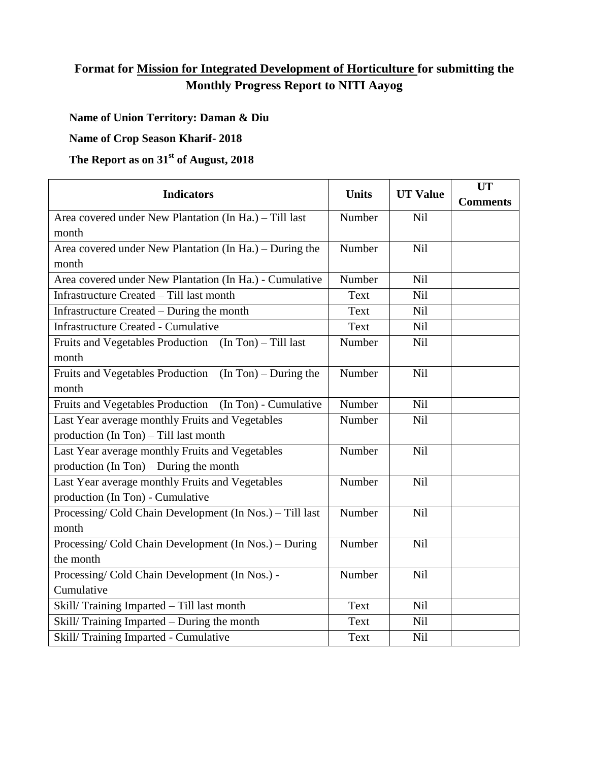## **Format for Mission for Integrated Development of Horticulture for submitting the Monthly Progress Report to NITI Aayog**

### **Name of Union Territory: Daman & Diu**

#### **Name of Crop Season Kharif- 2018**

# **The Report as on 31st of August, 2018**

| <b>Indicators</b>                                                  | <b>Units</b> | <b>UT Value</b> | <b>UT</b>       |
|--------------------------------------------------------------------|--------------|-----------------|-----------------|
|                                                                    |              |                 | <b>Comments</b> |
| Area covered under New Plantation (In Ha.) - Till last             | Number       | Nil             |                 |
| month                                                              |              |                 |                 |
| Area covered under New Plantation (In Ha.) – During the            | Number       | Nil             |                 |
| month                                                              |              |                 |                 |
| Area covered under New Plantation (In Ha.) - Cumulative            | Number       | <b>Nil</b>      |                 |
| Infrastructure Created - Till last month                           | Text         | <b>Nil</b>      |                 |
| Infrastructure Created - During the month                          | Text         | <b>Nil</b>      |                 |
| <b>Infrastructure Created - Cumulative</b>                         | Text         | Nil             |                 |
| $(In Ton) - Till last$<br>Fruits and Vegetables Production         | Number       | <b>Nil</b>      |                 |
| month                                                              |              |                 |                 |
| $(In Ton)$ – During the<br><b>Fruits and Vegetables Production</b> | Number       | <b>Nil</b>      |                 |
| month                                                              |              |                 |                 |
| <b>Fruits and Vegetables Production</b><br>(In Ton) - Cumulative   | Number       | <b>Nil</b>      |                 |
| Last Year average monthly Fruits and Vegetables                    | Number       | Nil             |                 |
| production (In Ton) - Till last month                              |              |                 |                 |
| Last Year average monthly Fruits and Vegetables                    | Number       | Nil             |                 |
| production $(In Ton)$ – During the month                           |              |                 |                 |
| Last Year average monthly Fruits and Vegetables                    | Number       | Nil             |                 |
| production (In Ton) - Cumulative                                   |              |                 |                 |
| Processing/ Cold Chain Development (In Nos.) - Till last           | Number       | <b>Nil</b>      |                 |
| month                                                              |              |                 |                 |
| Processing/ Cold Chain Development (In Nos.) - During              | Number       | Nil             |                 |
| the month                                                          |              |                 |                 |
| Processing/ Cold Chain Development (In Nos.) -                     | Number       | Nil             |                 |
| Cumulative                                                         |              |                 |                 |
| Skill/Training Imparted - Till last month                          | Text         | Nil             |                 |
| Skill/Training Imparted - During the month                         | Text         | <b>Nil</b>      |                 |
| Skill/Training Imparted - Cumulative                               | Text         | Nil             |                 |